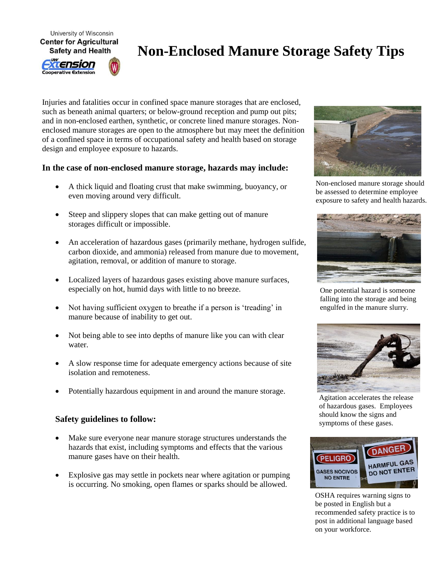University of Wisconsin **Center for Agricultural** 

**Safety and Health** 

tension **Cooperative Extension** 



Injuries and fatalities occur in confined space manure storages that are enclosed, such as beneath animal quarters; or below-ground reception and pump out pits; and in non-enclosed earthen, synthetic, or concrete lined manure storages. Nonenclosed manure storages are open to the atmosphere but may meet the definition of a confined space in terms of occupational safety and health based on storage design and employee exposure to hazards.

## **In the case of non-enclosed manure storage, hazards may include:**

- A thick liquid and floating crust that make swimming, buoyancy, or even moving around very difficult.
- Steep and slippery slopes that can make getting out of manure storages difficult or impossible.
- An acceleration of hazardous gases (primarily methane, hydrogen sulfide, carbon dioxide, and ammonia) released from manure due to movement, agitation, removal, or addition of manure to storage.
- Localized layers of hazardous gases existing above manure surfaces, especially on hot, humid days with little to no breeze.
- Not having sufficient oxygen to breathe if a person is 'treading' in manure because of inability to get out.
- Not being able to see into depths of manure like you can with clear water.
- A slow response time for adequate emergency actions because of site isolation and remoteness.
- Potentially hazardous equipment in and around the manure storage.

## **Safety guidelines to follow:**

- Make sure everyone near manure storage structures understands the hazards that exist, including symptoms and effects that the various manure gases have on their health.
- Explosive gas may settle in pockets near where agitation or pumping is occurring. No smoking, open flames or sparks should be allowed.



Non-enclosed manure storage should be assessed to determine employee exposure to safety and health hazards.



One potential hazard is someone falling into the storage and being engulfed in the manure slurry.



Agitation accelerates the release of hazardous gases. Employees should know the signs and symptoms of these gases.



OSHA requires warning signs to be posted in English but a recommended safety practice is to post in additional language based on your workforce.